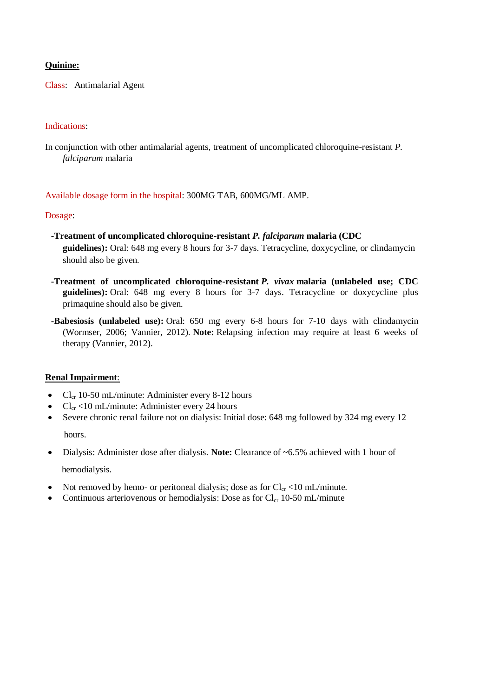# **Quinine:**

Class: Antimalarial Agent

# Indications:

In conjunction with other antimalarial agents, treatment of uncomplicated chloroquine-resistant *P*. *falciparum* malaria

### Available dosage form in the hospital: 300MG TAB, 600MG/ML AMP.

### Dosage:

- **-Treatment of uncomplicated chloroquine-resistant** *P. falciparum* **malaria (CDC guidelines):** Oral: 648 mg every 8 hours for 3-7 days. Tetracycline, doxycycline, or clindamycin should also be given.
- **-Treatment of uncomplicated chloroquine-resistant** *P. vivax* **malaria (unlabeled use; CDC guidelines):** Oral: 648 mg every 8 hours for 3-7 days. Tetracycline or doxycycline plus primaquine should also be given.
- **-Babesiosis (unlabeled use):** Oral: 650 mg every 6-8 hours for 7-10 days with clindamycin (Wormser, 2006; Vannier, 2012). **Note:** Relapsing infection may require at least 6 weeks of therapy (Vannier, 2012).

## **Renal Impairment**:

- $Cl_{cr}$  10-50 mL/minute: Administer every 8-12 hours
- $Cl_{cr}$  <10 mL/minute: Administer every 24 hours
- Severe chronic renal failure not on dialysis: Initial dose: 648 mg followed by 324 mg every 12

hours.

- Dialysis: Administer dose after dialysis. **Note:** Clearance of ~6.5% achieved with 1 hour of hemodialysis.
- Not removed by hemo- or peritoneal dialysis; dose as for  $Cl_{cr} < 10$  mL/minute.
	- Continuous arteriovenous or hemodialysis: Dose as for  $Cl_{cr}$  10-50 mL/minute